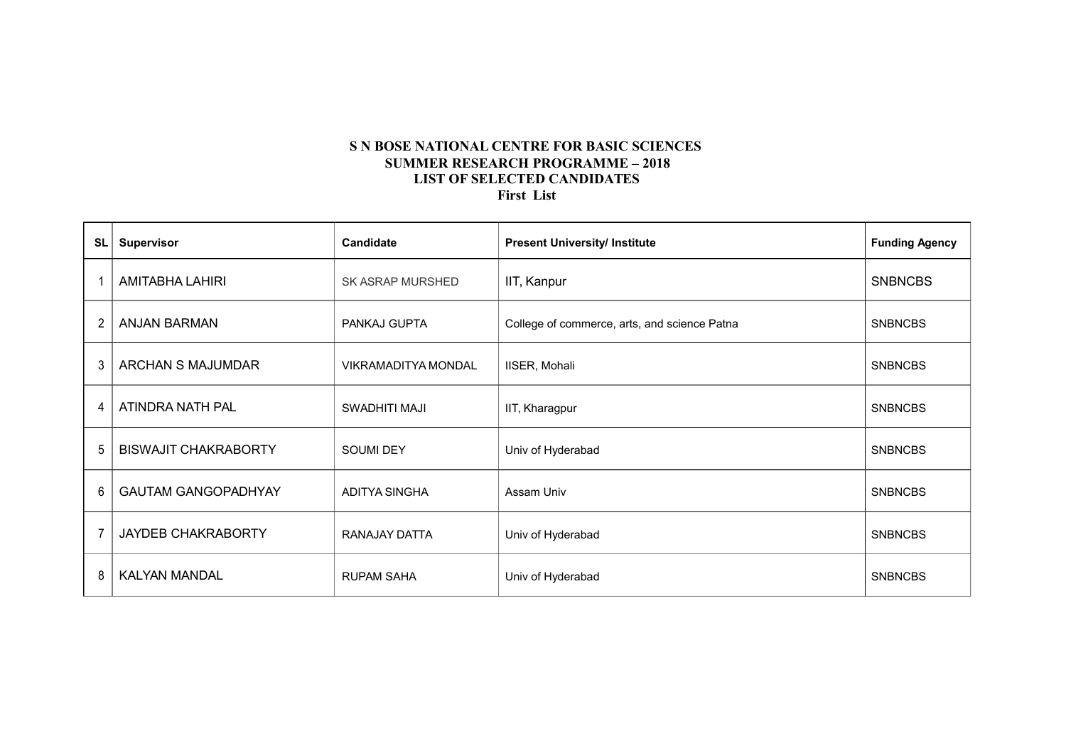### **S N BOSE NATIONAL CENTRE FOR BASIC SCIENCES SUMMER RESEARCH PROGRAMME – 2018 LIST OF SELECTED CANDIDATES First List**

| SL             | <b>Supervisor</b>           | <b>Candidate</b>           | <b>Present University/ Institute</b>         | <b>Funding Agency</b> |
|----------------|-----------------------------|----------------------------|----------------------------------------------|-----------------------|
|                | AMITABHA LAHIRI             | <b>SK ASRAP MURSHED</b>    | IIT, Kanpur                                  | <b>SNBNCBS</b>        |
| $\overline{2}$ | <b>ANJAN BARMAN</b>         | PANKAJ GUPTA               | College of commerce, arts, and science Patna | <b>SNBNCBS</b>        |
| 3              | <b>ARCHAN S MAJUMDAR</b>    | <b>VIKRAMADITYA MONDAL</b> | IISER, Mohali                                | <b>SNBNCBS</b>        |
| 4              | ATINDRA NATH PAL            | SWADHITI MAJI              | IIT, Kharagpur                               | <b>SNBNCBS</b>        |
| 5              | <b>BISWAJIT CHAKRABORTY</b> | <b>SOUMI DEY</b>           | Univ of Hyderabad                            | <b>SNBNCBS</b>        |
| 6              | <b>GAUTAM GANGOPADHYAY</b>  | ADITYA SINGHA              | Assam Univ                                   | <b>SNBNCBS</b>        |
|                | <b>JAYDEB CHAKRABORTY</b>   | RANAJAY DATTA              | Univ of Hyderabad                            | <b>SNBNCBS</b>        |
| 8              | <b>KALYAN MANDAL</b>        | <b>RUPAM SAHA</b>          | Univ of Hyderabad                            | <b>SNBNCBS</b>        |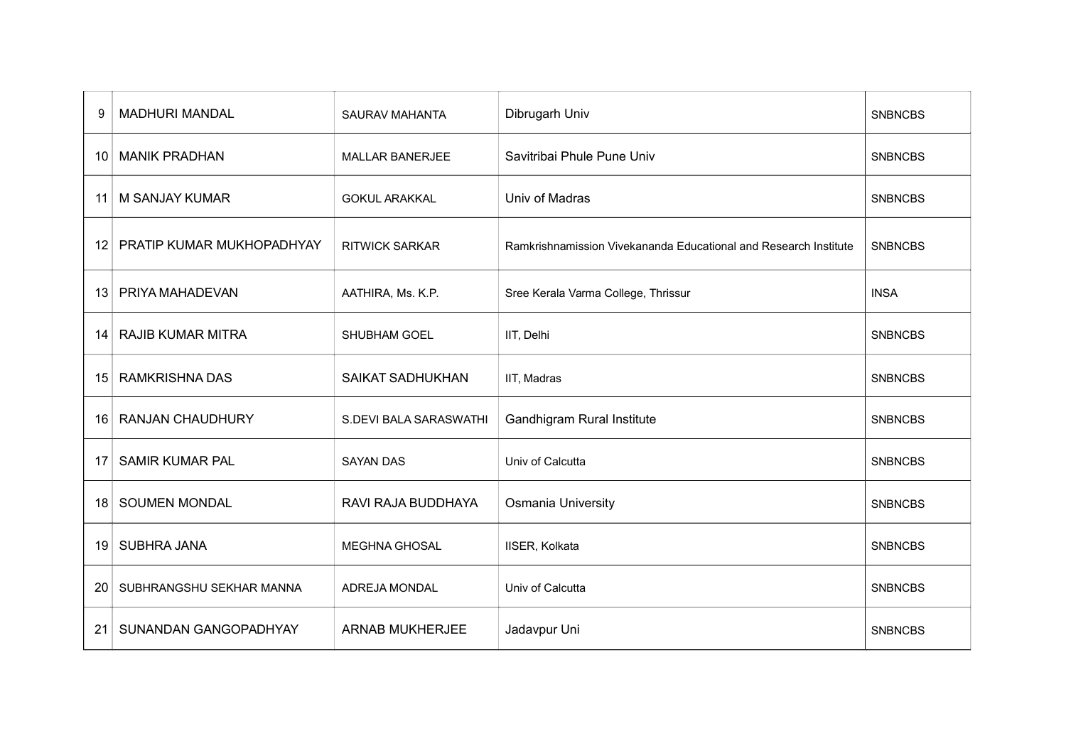| 9  | <b>MADHURI MANDAL</b>     | SAURAV MAHANTA          | Dibrugarh Univ                                                   | <b>SNBNCBS</b> |
|----|---------------------------|-------------------------|------------------------------------------------------------------|----------------|
| 10 | <b>MANIK PRADHAN</b>      | <b>MALLAR BANERJEE</b>  | Savitribai Phule Pune Univ                                       | <b>SNBNCBS</b> |
| 11 | <b>M SANJAY KUMAR</b>     | <b>GOKUL ARAKKAL</b>    | Univ of Madras                                                   | <b>SNBNCBS</b> |
| 12 | PRATIP KUMAR MUKHOPADHYAY | <b>RITWICK SARKAR</b>   | Ramkrishnamission Vivekananda Educational and Research Institute | <b>SNBNCBS</b> |
| 13 | PRIYA MAHADEVAN           | AATHIRA, Ms. K.P.       | Sree Kerala Varma College, Thrissur                              | <b>INSA</b>    |
| 14 | <b>RAJIB KUMAR MITRA</b>  | <b>SHUBHAM GOEL</b>     | IIT, Delhi                                                       | <b>SNBNCBS</b> |
| 15 | <b>RAMKRISHNA DAS</b>     | <b>SAIKAT SADHUKHAN</b> | IIT, Madras                                                      | <b>SNBNCBS</b> |
| 16 | <b>RANJAN CHAUDHURY</b>   | S.DEVI BALA SARASWATHI  | Gandhigram Rural Institute                                       | <b>SNBNCBS</b> |
| 17 | <b>SAMIR KUMAR PAL</b>    | <b>SAYAN DAS</b>        | Univ of Calcutta                                                 | <b>SNBNCBS</b> |
| 18 | <b>SOUMEN MONDAL</b>      | RAVI RAJA BUDDHAYA      | Osmania University                                               | <b>SNBNCBS</b> |
| 19 | SUBHRA JANA               | <b>MEGHNA GHOSAL</b>    | IISER, Kolkata                                                   | <b>SNBNCBS</b> |
| 20 | SUBHRANGSHU SEKHAR MANNA  | ADREJA MONDAL           | Univ of Calcutta                                                 | <b>SNBNCBS</b> |
| 21 | SUNANDAN GANGOPADHYAY     | <b>ARNAB MUKHERJEE</b>  | Jadavpur Uni                                                     | <b>SNBNCBS</b> |